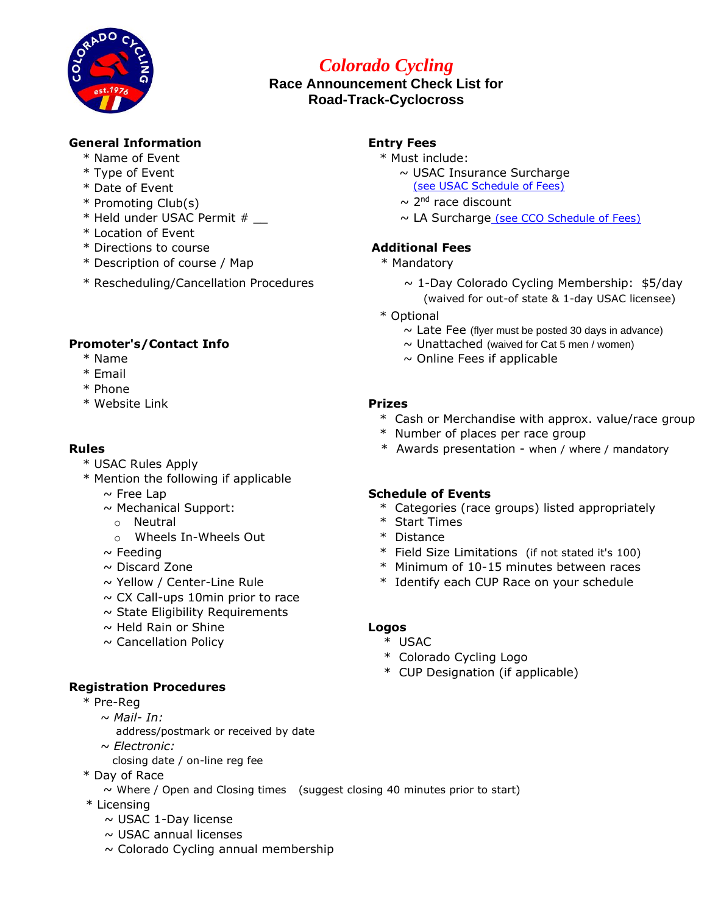

# *Colorado Cycling*

# **Race Announcement Check List for Road-Track-Cyclocross**

# **General Information Entry Fees**

- \* Name of Event  $*$  Must include:
- 
- 
- \* Promoting Club(s)  $\sim 2^{nd}$  race discount
- 
- \* Location of Event
- \* Directions to course **Additional Fees**
- \* Description of course / Map \* Mandatory
- 

### **Promoter's/Contact Info**

- 
- \* Email
- \* Phone
- \* Website Link **Prizes**

- \* USAC Rules Apply
- \* Mention the following if applicable
	-
	- $\sim$  Mechanical Support:
	- o Neutral
	- o Wheels In-Wheels Out  $*$  Distance
	-
	-
	-
	- $\sim$  CX Call-ups 10min prior to race
	- $\sim$  State Eligibility Requirements
	- ~ Held Rain or Shine **Logos**
	- ~ Cancellation Policy \* USAC

### **Registration Procedures**

- \* Pre-Reg
	- *~ Mail- In:*
		- address/postmark or received by date
	- *~ Electronic:* 
		- closing date / on-line reg fee
- \* Day of Race
	- $\sim$  Where / Open and Closing times (suggest closing 40 minutes prior to start)
- \* Licensing
	- $\sim$  USAC 1-Day license
	- $\sim$  USAC annual licenses
	- $\sim$  Colorado Cycling annual membership

- 
- \* Type of Event ~ USAC Insurance Surcharge \* Date of Event [\(see USAC Schedule of Fees\)](https://usacycling.org/resources/schedule-of-fees#eventorganizerfees)
	-
- \* Held under USAC Permit # \_\_ ~ LA Surcharg[e](http://coloradocycling.org/sites/default/files/Site_Files/Documents/Promoters/2022_schedule_of_fees.pdf) [\(see CCO Schedule of Fees\)](http://coloradocycling.org/sites/default/files/Site_Files/Documents/Promoters/2022_schedule_of_fees.pdf)

- 
- \* Rescheduling/Cancellation Procedures ~ 1-Day Colorado Cycling Membership: \$5/day (waived for out-of state & 1-day USAC licensee)
	- \* Optional
		- $\sim$  Late Fee (flyer must be posted 30 days in advance)
		- $\sim$  Unattached (waived for Cat 5 men / women)
- $*$  Name  $*$  Name  $*$  Name  $*$  Name  $*$  Name  $*$  Online Fees if applicable

- \* Cash or Merchandise with approx. value/race group
- \* Number of places per race group
- **Rules Example 20 Rules Rules Rules Example 20 <b>EXC EXC EXC EXC EXC EXC EXC EXC EXC EXC EXC EXC EXC EXC EXC EXC EXC EXC EXC EXC EXC EXC EXC EXC EXC EXC EXC EX**

### ~ Free Lap **Schedule of Events**

- \* Categories (race groups) listed appropriately
- \* Start Times
- 
- $\sim$  Feeding  $\sim$  Field Size Limitations (if not stated it's 100)
- ~ Discard Zone \* Minimum of 10-15 minutes between races
- $\sim$  Yellow / Center-Line Rule  $\sim$  \* Identify each CUP Race on your schedule

- 
- \* Colorado Cycling Logo
- \* CUP Designation (if applicable)